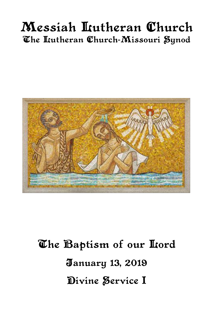# Messiah Lutheran Church The Itutheran Church-Missouri Synod



# The Baptism of our Lord **January 13, 2019** Divine Service I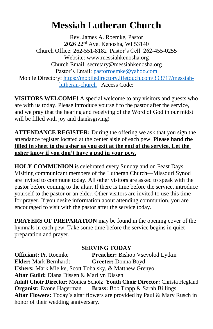# **Messiah Lutheran Church**

Rev. James A. Roemke, Pastor 2026 22nd Ave. Kenosha, WI 53140 Church Office: 262-551-8182 Pastor's Cell: 262-455-0255 Website: www.messiahkenosha.org Church Email: secretary@messiahkenosha.org Pastor's Email: [pastorroemke@yahoo.com](mailto:pastorroemke@yahoo.com) Mobile Directory: [https://mobiledirectory.lifetouch.com/393717/messiah](https://mobiledirectory.lifetouch.com/393717/messiah-lutheran-church)[lutheran-church](https://mobiledirectory.lifetouch.com/393717/messiah-lutheran-church) Access Code:

**VISITORS WELCOME!** A special welcome to any visitors and guests who are with us today. Please introduce yourself to the pastor after the service, and we pray that the hearing and receiving of the Word of God in our midst will be filled with joy and thanksgiving!

**ATTENDANCE REGISTER:** During the offering we ask that you sign the attendance register located at the center aisle of each pew. **Please hand the filled in sheet to the usher as you exit at the end of the service. Let the usher know if you don't have a pad in your pew.**

**HOLY COMMUNION** is celebrated every Sunday and on Feast Days. Visiting communicant members of the Lutheran Church—Missouri Synod are invited to commune today. All other visitors are asked to speak with the pastor before coming to the altar. If there is time before the service, introduce yourself to the pastor or an elder. Other visitors are invited to use this time for prayer. If you desire information about attending communion, you are encouraged to visit with the pastor after the service today.

**PRAYERS OF PREPARATION** may be found in the opening cover of the hymnals in each pew. Take some time before the service begins in quiet preparation and prayer.

#### **+SERVING TODAY+**

**Officiant: Pr. Roemke Preacher: Bishop Vsevolod Lytkin Elder:** Mark Bernhardt **Greeter:** Donna Boyd **Ushers:** Mark Mielke, Scott Tobalsky, & Matthew Grenyo **Altar Guild:** Diana Dissen & Marilyn Dissen **Adult Choir Director:** Monica Scholz **Youth Choir Director:** Christa Hegland **Organist:** Evone Hagerman **Brass:** Bob Trapp & Sarah Billings **Altar Flowers:** Today's altar flowers are provided by Paul & Mary Rusch in honor of their wedding anniversary.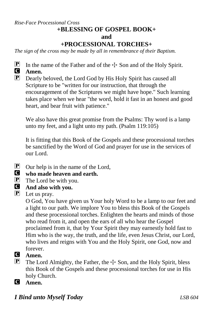#### *Rise-Face Processional Cross*

## **+BLESSING OF GOSPEL BOOK+**

#### **and**

### **+PROCESSIONAL TORCHES+**

*The sign of the cross may be made by all in remembrance of their Baptism.*

**P** In the name of the Father and of the  $\pm$  Son and of the Holy Spirit.<br>**C** Amen. Amen.

P Dearly beloved, the Lord God by His Holy Spirit has caused all Scripture to be "written for our instruction, that through the encouragement of the Scriptures we might have hope." Such learning takes place when we hear "the word, hold it fast in an honest and good heart, and bear fruit with patience."

We also have this great promise from the Psalms: Thy word is a lamp unto my feet, and a light unto my path. (Psalm 119:105)

It is fitting that this Book of the Gospels and these processional torches be sanctified by the Word of God and prayer for use in the services of our Lord.

- **P** Our help is in the name of the Lord,<br>**C** who made heaven and earth.
- **C** who made heaven and earth.<br> **P** The Lord be with you.
- $\mathbf{P}$  The Lord be with you.<br> **G** And also with you.
- C **And also with you.**
- $\mathbf{P}$  Let us pray.

O God, You have given us Your holy Word to be a lamp to our feet and a light to our path. We implore You to bless this Book of the Gospels and these processional torches. Enlighten the hearts and minds of those who read from it, and open the ears of all who hear the Gospel proclaimed from it, that by Your Spirit they may earnestly hold fast to Him who is the way, the truth, and the life, even Jesus Christ, our Lord, who lives and reigns with You and the Holy Spirit, one God, now and forever.

- **C** Amen.<br> **P** The Lo
- The Lord Almighty, the Father, the  $\pm$  Son, and the Holy Spirit, bless this Book of the Gospels and these processional torches for use in His holy Church.
- C **Amen.**

### *I Bind unto Myself Today LSB 604*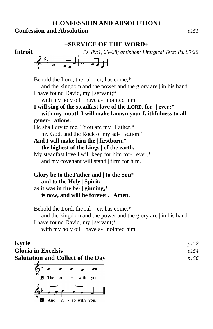#### **+CONFESSION AND ABSOLUTION+ Confession and Absolution** *p151*

#### **+SERVICE OF THE WORD+**





Behold the Lord, the rul- | er, has come,\* and the kingdom and the power and the glory are | in his hand. I have found David, my | servant;\* with my holy oil I have a- | nointed him. **I will sing of the steadfast love of the LORD, for- | ever;\* with my mouth I will make known your faithfulness to all gener- | ations.** He shall cry to me, "You are my | Father,\* my God, and the Rock of my sal- | vation." **And I will make him the | firstborn,\* the highest of the kings | of the earth.** My steadfast love I will keep for him for- | ever,\* and my covenant will stand | firm for him. **Glory be to the Father and** | **to the Son**\*

 **and to the Holy** | **Spirit; as it was in the be-** | **ginning,**\*  **is now, and will be forever.** | **Amen.**

Behold the Lord, the rul- | er, has come,\* and the kingdom and the power and the glory are | in his hand. I have found David, my | servant;\* with my holy oil I have a- | nointed him.

# **Kyrie** *p152* **Gloria in Excelsis** *p154*

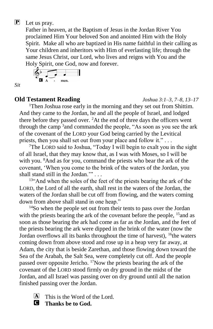### P Let us pray.

Father in heaven, at the Baptism of Jesus in the Jordan River You proclaimed Him Your beloved Son and anointed Him with the Holy Spirit. Make all who are baptized in His name faithful in their calling as Your children and inheritors with Him of everlasting life; through the same Jesus Christ, our Lord, who lives and reigns with You and the Holy Spirit, one God, now and forever.

$$
\begin{array}{c}\n\bigcirc^{\flat} \\
\bullet \\
\bullet \\
\bullet\n\end{array}
$$

*Sit*

#### **Old Testament Reading** *Joshua 3:1–3, 7–8, 13–17*

<sup>1</sup>Then Joshua rose early in the morning and they set out from Shittim. And they came to the Jordan, he and all the people of Israel, and lodged there before they passed over.  ${}^{2}$ At the end of three days the officers went through the camp <sup>3</sup> and commanded the people, "As soon as you see the ark of the covenant of the LORD your God being carried by the Levitical priests, then you shall set out from your place and follow it." . . .

<sup>7</sup>The LORD said to Joshua, "Today I will begin to exalt you in the sight of all Israel, that they may know that, as I was with Moses, so I will be with you. <sup>8</sup>And as for you, command the priests who bear the ark of the covenant, 'When you come to the brink of the waters of the Jordan, you shall stand still in the Jordan.'" . . .

<sup>13"</sup>And when the soles of the feet of the priests bearing the ark of the LORD, the Lord of all the earth, shall rest in the waters of the Jordan, the waters of the Jordan shall be cut off from flowing, and the waters coming down from above shall stand in one heap."

<sup>14</sup>So when the people set out from their tents to pass over the Jordan with the priests bearing the ark of the covenant before the people, <sup>15</sup> and as soon as those bearing the ark had come as far as the Jordan, and the feet of the priests bearing the ark were dipped in the brink of the water (now the Jordan overflows all its banks throughout the time of harvest), <sup>16</sup>the waters coming down from above stood and rose up in a heap very far away, at Adam, the city that is beside Zarethan, and those flowing down toward the Sea of the Arabah, the Salt Sea, were completely cut off. And the people passed over opposite Jericho. <sup>17</sup>Now the priests bearing the ark of the covenant of the LORD stood firmly on dry ground in the midst of the Jordan, and all Israel was passing over on dry ground until all the nation finished passing over the Jordan.

 $[A]$  This is the Word of the Lord.

C **Thanks be to God.**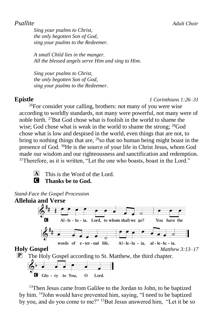*Sing your psalms to Christ, the only begotten Son of God, sing your psalms to the Redeemer.*

*A small Child lies in the manger. All the blessed angels serve Him and sing to Him.*

*Sing your psalms to Christ, the only begotten Son of God, sing your psalms to the Redeemer.*

**Epistle** *1 Corinthians 1:26–31*

<sup>26</sup>For consider your calling, brothers: not many of you were wise according to worldly standards, not many were powerful, not many were of noble birth. <sup>27</sup>But God chose what is foolish in the world to shame the wise; God chose what is weak in the world to shame the strong;  $^{28}$ God chose what is low and despised in the world, even things that are not, to bring to nothing things that are,  $^{29}$ so that no human being might boast in the presence of God. <sup>30</sup>He is the source of your life in Christ Jesus, whom God made our wisdom and our righteousness and sanctification and redemption. <sup>31</sup>Therefore, as it is written, "Let the one who boasts, boast in the Lord."

 $[A]$  This is the Word of the Lord. C **Thanks be to God.**

*Stand-Face the Gospel Procession*



<sup>13</sup>Then Jesus came from Galilee to the Jordan to John, to be baptized by him. <sup>14</sup>John would have prevented him, saying, "I need to be baptized by you, and do you come to me?" 15But Jesus answered him, "Let it be so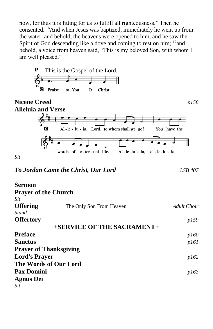now, for thus it is fitting for us to fulfill all righteousness." Then he consented. <sup>16</sup>And when Jesus was baptized, immediately he went up from the water, and behold, the heavens were opened to him, and he saw the Spirit of God descending like a dove and coming to rest on him; <sup>17</sup> and behold, a voice from heaven said, "This is my beloved Son, with whom I am well pleased."



*To Jordan Came the Christ, Our Lord LSB 407*

| <b>Sermon</b>                 |                            |             |
|-------------------------------|----------------------------|-------------|
| <b>Prayer of the Church</b>   |                            |             |
| Sit                           |                            |             |
| <b>Offering</b>               | The Only Son From Heaven   | Adult Choir |
| Stand                         |                            |             |
| <b>Offertory</b>              |                            | <i>p159</i> |
|                               | +SERVICE OF THE SACRAMENT+ |             |
| <b>Preface</b>                |                            | <i>p160</i> |
| <b>Sanctus</b>                |                            | p161        |
| <b>Prayer of Thanksgiving</b> |                            |             |
| <b>Lord's Prayer</b>          |                            | p162        |
| The Words of Our Lord         |                            |             |
| <b>Pax Domini</b>             |                            | p163        |
| <b>Agnus Dei</b>              |                            |             |
| Sit                           |                            |             |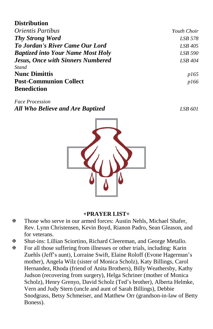#### **Distribution**

| <b>Orientis Partibus</b>                 | Youth Choir    |
|------------------------------------------|----------------|
| <b>Thy Strong Word</b>                   | LSB 578        |
| To Jordan's River Came Our Lord          | $LSB$ 405      |
| <b>Baptized into Your Name Most Holy</b> | <b>LSB 590</b> |
| <b>Jesus, Once with Sinners Numbered</b> | LSB 404        |
| <b>Stand</b>                             |                |
| <b>Nunc Dimittis</b>                     | <i>p165</i>    |
| <b>Post-Communion Collect</b>            | p166           |
| <b>Benediction</b>                       |                |

*Face Procession All Who Believe and Are Baptized LSB 601*

#### **+PRAYER LIST+**

- Those who serve in our armed forces: Austin Nehls, Michael Shafer, Rev. Lynn Christensen, Kevin Boyd, Rianon Padro, Sean Gleason, and for veterans.
- Shut-ins: Lillian Sciortino, Richard Cleereman, and George Metallo.
- For all those suffering from illnesses or other trials, including: Karin Zuehls (Jeff's aunt), Lorraine Swift, Elaine Roloff (Evone Hagerman's mother), Angela Wilz (sister of Monica Scholz), Katy Billings, Carol Hernandez, Rhoda (friend of Anita Brothers), Billy Weathersby, Kathy Judson (recovering from surgery), Helga Schriner (mother of Monica Scholz), Henry Grenyo, David Scholz (Ted's brother), Alberta Helmke, Vern and Judy Stern (uncle and aunt of Sarah Billings), Debbie Snodgrass, Betsy Schmeiser, and Matthew Orr (grandson-in-law of Betty Boness).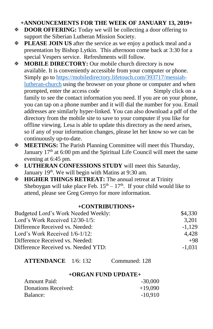#### **+ANNOUNCEMENTS FOR THE WEEK OF JANUARY 13, 2019+**

- **E DOOR OFFERING:** Today we will be collecting a door offering to support the Siberian Lutheran Mission Society.
- **PLEASE JOIN US** after the service as we enjoy a potluck meal and a presentation by Bishop Lytkin. This afternoon come back at 3:30 for a special Vespers service. Refreshments will follow.
- **MOBILE DIRECTORY:** Our mobile church directory is now available. It is conveniently accessible from your computer or phone. Simply go to [https://mobiledirectory.lifetouch.com/393717/messiah](https://mobiledirectory.lifetouch.com/393717/messiah-lutheran-church)[lutheran-church](https://mobiledirectory.lifetouch.com/393717/messiah-lutheran-church) using the browser on your phone or computer and when prompted, enter the access code Simply click on a family to see the contact information you need. If you are on your phone, you can tap on a phone number and it will dial the number for you. Email addresses are similarly hyper-linked. You can also download a pdf of the directory from the mobile site to save to your computer if you like for offline viewing. Lesa is able to update this directory as the need arises, so if any of your information changes, please let her know so we can be continuously up-to-date.
- **MEETINGS:** The Parish Planning Committee will meet this Thursday, January 17<sup>th</sup> at 6:00 pm and the Spiritual Life Council will meet the same evening at 6:45 pm.
- **LUTHERAN CONFESSIONS STUDY** will meet this Saturday, January 19<sup>th</sup>. We will begin with Matins at 9:30 am.
- **HIGHER THINGS RETREAT:** The annual retreat at Trinity Sheboygan will take place Feb.  $15<sup>th</sup> - 17<sup>th</sup>$ . If your child would like to attend, please see Greg Grenyo for more information.

#### **+CONTRIBUTIONS+**

| Budgeted Lord's Work Needed Weekly: | \$4,330  |
|-------------------------------------|----------|
| Lord's Work Received 12/30-1/5:     | 3.201    |
| Difference Received vs. Needed:     | $-1.129$ |
| Lord's Work Received 1/6-1/12:      | 4.428    |
| Difference Received vs. Needed:     | $+98$    |
| Difference Received vs. Needed YTD: | $-1.031$ |
|                                     |          |

**ATTENDANCE** 1/6: 132 Communed: 128

#### **+ORGAN FUND UPDATE+**

| Amount Paid:        | $-30,000$ |
|---------------------|-----------|
| Donations Received: | $+19,090$ |
| Balance:            | $-10.910$ |